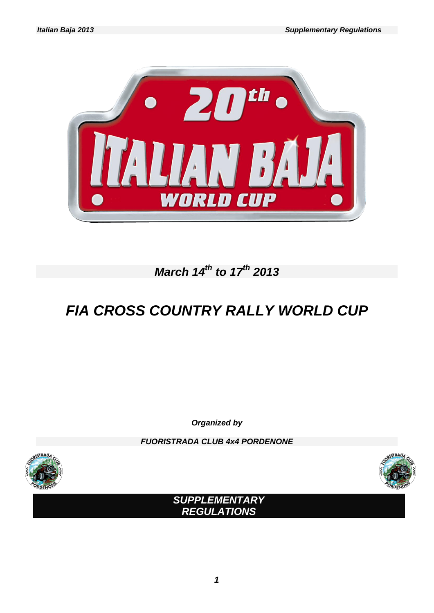

# *March 14 th to 17 th 2013*

# *FIA CROSS COUNTRY RALLY WORLD CUP*

*Organized by*

*FUORISTRADA CLUB 4x4 PORDENONE*





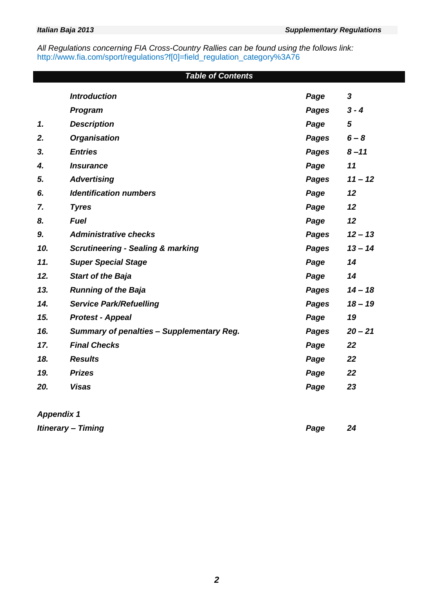*All Regulations concerning FIA Cross-Country Rallies can be found using the follows link:* http://www.fia.com/sport/regulations?f[0]=field\_regulation\_category%3A76

# *Table of Contents*

|     | <b>Introduction</b>                              | Page         | $\boldsymbol{3}$ |
|-----|--------------------------------------------------|--------------|------------------|
|     | <b>Program</b>                                   | Pages        | $3 - 4$          |
| 1.  | <b>Description</b>                               | Page         | 5                |
| 2.  | <b>Organisation</b>                              | Pages        | $6 - 8$          |
| 3.  | <b>Entries</b>                                   | <b>Pages</b> | $8 - 11$         |
| 4.  | <b>Insurance</b>                                 | Page         | 11               |
| 5.  | <b>Advertising</b>                               | <b>Pages</b> | $11 - 12$        |
| 6.  | <b>Identification numbers</b>                    | Page         | 12               |
| 7.  | <b>Tyres</b>                                     | Page         | 12               |
| 8.  | <b>Fuel</b>                                      | Page         | 12               |
| 9.  | <b>Administrative checks</b>                     | <b>Pages</b> | $12 - 13$        |
| 10. | <b>Scrutineering - Sealing &amp; marking</b>     | <b>Pages</b> | $13 - 14$        |
| 11. | <b>Super Special Stage</b>                       | Page         | 14               |
| 12. | <b>Start of the Baja</b>                         | Page         | 14               |
| 13. | <b>Running of the Baja</b>                       | <b>Pages</b> | $14 - 18$        |
| 14. | <b>Service Park/Refuelling</b>                   | <b>Pages</b> | $18 - 19$        |
| 15. | <b>Protest - Appeal</b>                          | Page         | 19               |
| 16. | <b>Summary of penalties - Supplementary Reg.</b> | <b>Pages</b> | $20 - 21$        |
| 17. | <b>Final Checks</b>                              | Page         | 22               |
| 18. | <b>Results</b>                                   | Page         | 22               |
| 19. | <b>Prizes</b>                                    | Page         | 22               |
| 20. | <b>Visas</b>                                     | Page         | 23               |
|     |                                                  |              |                  |

*Appendix 1*

*Itinerary – Timing Page 24*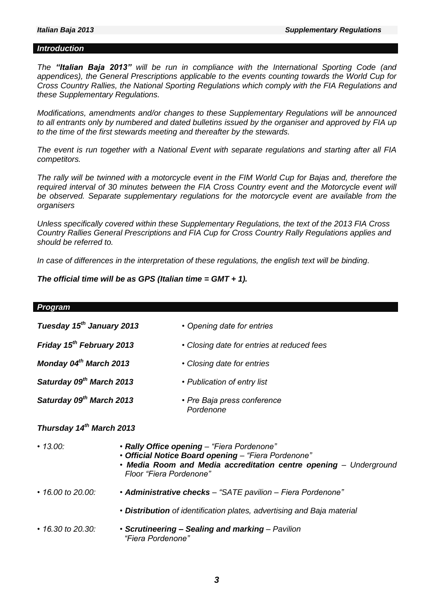#### *Introduction*

*The "Italian Baja 2013" will be run in compliance with the International Sporting Code (and appendices), the General Prescriptions applicable to the events counting towards the World Cup for Cross Country Rallies, the National Sporting Regulations which comply with the FIA Regulations and these Supplementary Regulations.*

*Modifications, amendments and/or changes to these Supplementary Regulations will be announced to all entrants only by numbered and dated bulletins issued by the organiser and approved by FIA up to the time of the first stewards meeting and thereafter by the stewards.* 

*The event is run together with a National Event with separate regulations and starting after all FIA competitors.*

*The rally will be twinned with a motorcycle event in the FIM World Cup for Bajas and, therefore the*  required interval of 30 minutes between the FIA Cross Country event and the Motorcycle event will be observed. Separate supplementary regulations for the motorcycle event are available from the *organisers*

*Unless specifically covered within these Supplementary Regulations, the text of the 2013 FIA Cross Country Rallies General Prescriptions and FIA Cup for Cross Country Rally Regulations applies and should be referred to.*

*In case of differences in the interpretation of these regulations, the english text will be binding.*

*The official time will be as GPS (Italian time = GMT + 1).*

| <b>Program</b>                        |                         |                                                                                                                                                                        |  |  |  |
|---------------------------------------|-------------------------|------------------------------------------------------------------------------------------------------------------------------------------------------------------------|--|--|--|
| Tuesday 15 <sup>th</sup> January 2013 |                         | • Opening date for entries                                                                                                                                             |  |  |  |
| Friday 15 <sup>th</sup> February 2013 |                         | • Closing date for entries at reduced fees                                                                                                                             |  |  |  |
| Monday 04th March 2013                |                         | • Closing date for entries                                                                                                                                             |  |  |  |
| Saturday 09th March 2013              |                         | • Publication of entry list                                                                                                                                            |  |  |  |
| Saturday 09th March 2013              |                         | • Pre Baja press conference<br>Pordenone                                                                                                                               |  |  |  |
| Thursday 14 <sup>th</sup> March 2013  |                         |                                                                                                                                                                        |  |  |  |
| $\cdot$ 13.00:                        | Floor "Fiera Pordenone" | · Rally Office opening - "Fiera Pordenone"<br>• Official Notice Board opening - "Fiera Pordenone"<br>. Media Room and Media accreditation centre opening - Underground |  |  |  |
| $\cdot$ 16.00 to 20.00:               |                         | • Administrative checks - "SATE pavilion - Fiera Pordenone"                                                                                                            |  |  |  |
|                                       |                         | • Distribution of identification plates, advertising and Baja material                                                                                                 |  |  |  |
| $\cdot$ 16.30 to 20.30:               | "Fiera Pordenone"       | • Scrutineering - Sealing and marking - Pavilion                                                                                                                       |  |  |  |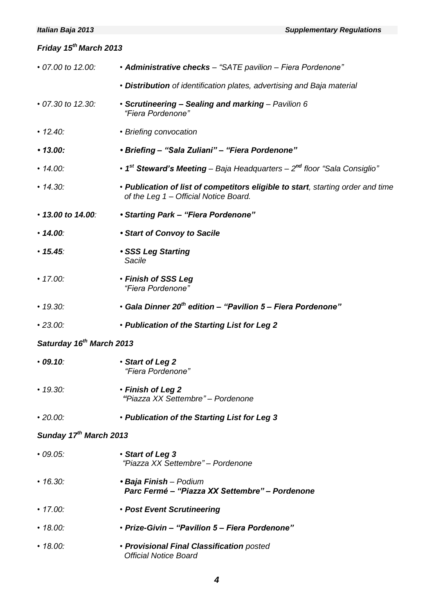# *Friday 15 th March 2013 • 07.00 to 12.00: • Administrative checks – "SATE pavilion – Fiera Pordenone" • Distribution of identification plates, advertising and Baja material • 07.30 to 12.30: • Scrutineering – Sealing and marking – Pavilion 6 "Fiera Pordenone" • 12.40: • Briefing convocation • 13.00: • Briefing – "Sala Zuliani" – "Fiera Pordenone" • 14.00: • 1 st Steward's Meeting – Baja Headquarters – 2 nd floor "Sala Consiglio" • 14.30: • Publication of list of competitors eligible to start, starting order and time of the Leg 1 – Official Notice Board. • 13.00 to 14.00: • Starting Park – "Fiera Pordenone" • 14.00: • Start of Convoy to Sacile • 15.45: • SSS Leg Starting Sacile • 17.00: • Finish of SSS Leg "Fiera Pordenone" • 19.30: • Gala Dinner 20th edition – "Pavilion 5 – Fiera Pordenone" • 23.00: • Publication of the Starting List for Leg 2 Saturday 16 th March 2013 • 09.10: • Start of Leg 2 "Fiera Pordenone" • 19.30: • Finish of Leg 2 "Piazza XX Settembre" – Pordenone • 20.00: • Publication of the Starting List for Leg 3 Sunday 17 th March 2013 • 09.05: • Start of Leg 3 "Piazza XX Settembre" – Pordenone • 16.30: • Baja Finish – Podium Parc Fermé – "Piazza XX Settembre" – Pordenone • 17.00: • Post Event Scrutineering • 18.00: • Prize-Givin – "Pavilion 5 – Fiera Pordenone" • 18.00: • Provisional Final Classification posted Official Notice Board*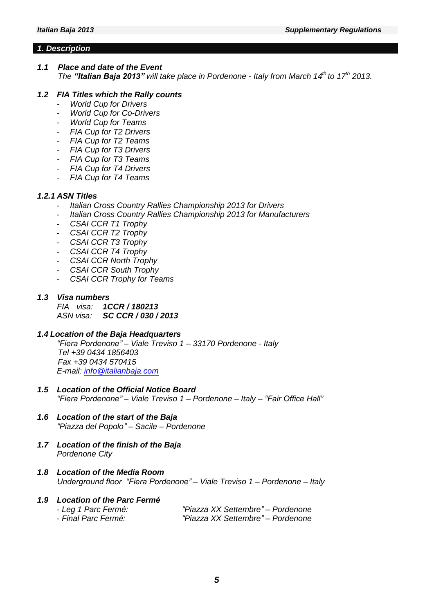#### *1. Description*

# *1.1 Place and date of the Event*

*The "Italian Baja 2013" will take place in Pordenone - Italy from March 14 th to 17 th 2013.*

# *1.2 FIA Titles which the Rally counts*

- *- World Cup for Drivers*
- *- World Cup for Co-Drivers*
- *World Cup for Teams*
- *- FIA Cup for T2 Drivers*
- *- FIA Cup for T2 Teams*
- *- FIA Cup for T3 Drivers*
- *- FIA Cup for T3 Teams*
- *- FIA Cup for T4 Drivers*
- *- FIA Cup for T4 Teams*

# *1.2.1 ASN Titles*

- *Italian Cross Country Rallies Championship 2013 for Drivers*
- *Italian Cross Country Rallies Championship 2013 for Manufacturers*
- *CSAI CCR T1 Trophy*
- *CSAI CCR T2 Trophy*
- *CSAI CCR T3 Trophy*
- *CSAI CCR T4 Trophy*
- *CSAI CCR North Trophy*
- *CSAI CCR South Trophy*
- *CSAI CCR Trophy for Teams*

#### *1.3 Visa numbers*

*FIA visa: 1CCR / 180213 ASN visa: SC CCR / 030 / 2013*

# *1.4 Location of the Baja Headquarters*

*"Fiera Pordenone" – Viale Treviso 1 – 33170 Pordenone - Italy Tel +39 0434 1856403 Fax +39 0434 570415 E-mail: [info@italianbaja.com](mailto:info@italianbaja.com)* 

- *1.5 Location of the Official Notice Board "Fiera Pordenone" – Viale Treviso 1 – Pordenone – Italy – "Fair Office Hall"*
- *1.6 Location of the start of the Baja "Piazza del Popolo" – Sacile – Pordenone*
- *1.7 Location of the finish of the Baja Pordenone City*
- *1.8 Location of the Media Room Underground floor "Fiera Pordenone" – Viale Treviso 1 – Pordenone – Italy*

#### *1.9 Location of the Parc Fermé - Leg 1 Parc Fermé: "Piazza XX Settembre" – Pordenone*

*- Final Parc Fermé: "Piazza XX Settembre" – Pordenone*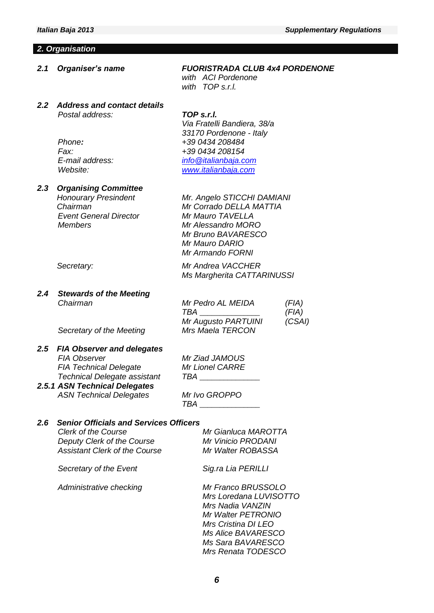#### *2. Organisation*

*2.1 Organiser's name FUORISTRADA CLUB 4x4 PORDENONE*

*with ACI Pordenone with TOP s.r.l.*

#### *2.2 Address and contact details Postal address: TOP s.r.l.*

*Via Fratelli Bandiera, 38/a 33170 Pordenone - Italy Phone: +39 0434 208484 Fax: +39 0434 208154 E-mail address: [info@italianbaja.com](mailto:info@italianbaja.com) Website: [www.italianbaja.com](http://www.italianbaja.com/)*

*Mr Bruno BAVARESCO*

*Ms Margherita CATTARINUSSI*

*TBA \_\_\_\_\_\_\_\_\_\_\_\_\_\_\_ (FIA) Mr Augusto PARTUINI (CSAI)*

*Mr Mauro DARIO Mr Armando FORNI*

#### *2.3 Organising Committee Honourary Presindent Mr. Angelo STICCHI DAMIANI*

*Chairman Mr Corrado DELLA MATTIA Event General Director Mr Mauro TAVELLA Members Mr Alessandro MORO*

*Secretary: Mr Andrea VACCHER*

#### *2.4 Stewards of the Meeting Chairman Mr Pedro AL MEIDA (FIA)*

*Secretary of the Meeting Mrs Maela TERCON*

#### *2.5 FIA Observer and delegates FIA Observer Mr Ziad JAMOUS FIA Technical Delegate Mr Lionel CARRE*  $Technical$  *Delegate assistant*

*2.5.1 ASN Technical Delegates ASN Technical Delegates Mr Ivo GROPPO*

*TBA \_\_\_\_\_\_\_\_\_\_\_\_\_\_\_*

# *2.6 Senior Officials and Services Officers*

*Clerk of the Course Mr Gianluca MAROTTA Deputy Clerk of the Course Mr Vinicio PRODANI Assistant Clerk of the Course Mr Walter ROBASSA*

*Secretary of the Event Sig.ra Lia PERILLI*

*Administrative checking Mr Franco BRUSSOLO*

# *Mrs Loredana LUVISOTTO Mrs Nadia VANZIN Mr Walter PETRONIO Mrs Cristina DI LEO*

*Ms Alice BAVARESCO Ms Sara BAVARESCO Mrs Renata TODESCO*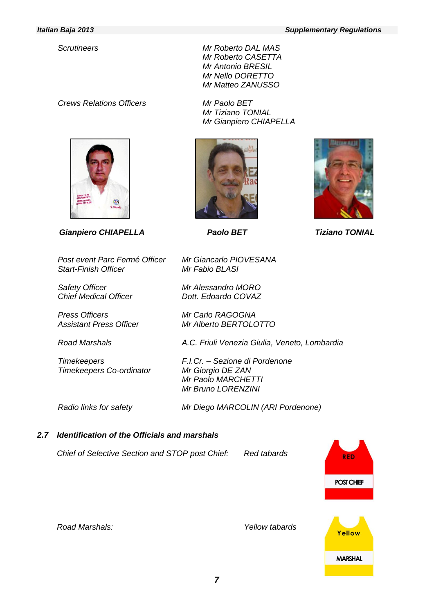# *Crews Relations Officers Mr Paolo BET*



*Gianpiero CHIAPELLA Paolo BET Tiziano TONIAL*

*Post event Parc Fermé Officer Mr Giancarlo PIOVESANA* **Start-Finish Officer** 

*Safety Officer Mr Alessandro MORO Chief Medical Officer Dott. Edoardo COVAZ*

*Press Officers Mr Carlo RAGOGNA*

*Road Marshals A.C. Friuli Venezia Giulia, Veneto, Lombardia*

*Timekeepers F.I.Cr. – Sezione di Pordenone Timekeepers Co-ordinator Mr Giorgio DE ZAN*

*Radio links for safety Mr Diego MARCOLIN (ARI Pordenone)*

# *2.7 Identification of the Officials and marshals*

*Chief of Selective Section and STOP post Chief: Red tabards*





**RED** 

**POST CHIEF** 

Yellow

**MARSHAL** 

*Scrutineers Mr Roberto DAL MAS Mr Roberto CASETTA Mr Antonio BRESIL Mr Nello DORETTO Mr Matteo ZANUSSO*

> *Mr Tiziano TONIAL Mr Gianpiero CHIAPELLA*

> > *––*

*Assistant Press Officer Mr Alberto BERTOLOTTO*

*Mr Paolo MARCHETTI Mr Bruno LORENZINI*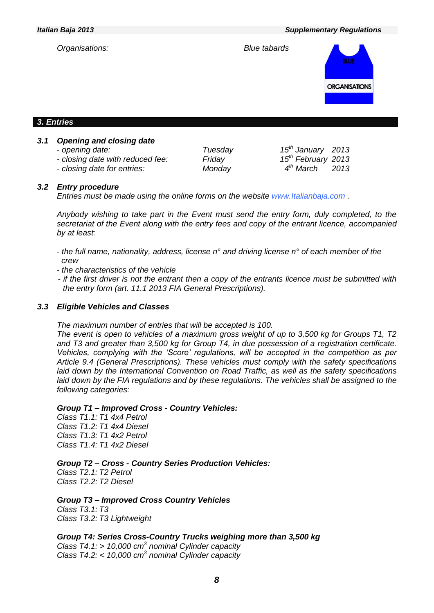*Italian Baja 2013 Supplementary Regulations*



*- opening date: Tuesday 15*

*- closing date with reduced fee: Friday 15*

*- closing date for entries: Monday 4*

*th January 2013 th February 2013 th March 2013*

#### *3.2 Entry procedure*

*Entries must be made using the online forms on the website www.Italianbaja.com .* 

*Anybody wishing to take part in the Event must send the entry form, duly completed, to the secretariat of the Event along with the entry fees and copy of the entrant licence, accompanied by at least:* 

- *- the full name, nationality, address, license n° and driving license n° of each member of the crew*
- *- the characteristics of the vehicle*
- *- if the first driver is not the entrant then a copy of the entrants licence must be submitted with the entry form (art. 11.1 2013 FIA General Prescriptions).*

#### *3.3 Eligible Vehicles and Classes*

*The maximum number of entries that will be accepted is 100.* 

*The event is open to vehicles of a maximum gross weight of up to 3,500 kg for Groups T1, T2 and T3 and greater than 3,500 kg for Group T4, in due possession of a registration certificate. Vehicles, complying with the 'Score' regulations, will be accepted in the competition as per Article 9.4 (General Prescriptions). These vehicles must comply with the safety specifications laid down by the International Convention on Road Traffic, as well as the safety specifications*  laid down by the FIA regulations and by these regulations. The vehicles shall be assigned to the *following categories:*

#### *Group T1 – Improved Cross - Country Vehicles:*

*Class T1.1: T1 4x4 Petrol Class T1.2: T1 4x4 Diesel Class T1.3: T1 4x2 Petrol Class T1.4: T1 4x2 Diesel* 

*Group T2 – Cross - Country Series Production Vehicles:*

*Class T2.1: T2 Petrol Class T2.2: T2 Diesel* 

*Group T3 – Improved Cross Country Vehicles Class T3.1: T3 Class T3.2: T3 Lightweight*

*Group T4: Series Cross-Country Trucks weighing more than 3,500 kg Class T4.1: > 10,000 cm<sup>3</sup> nominal Cylinder capacity Class T4.2: < 10,000 cm<sup>3</sup> nominal Cylinder capacity*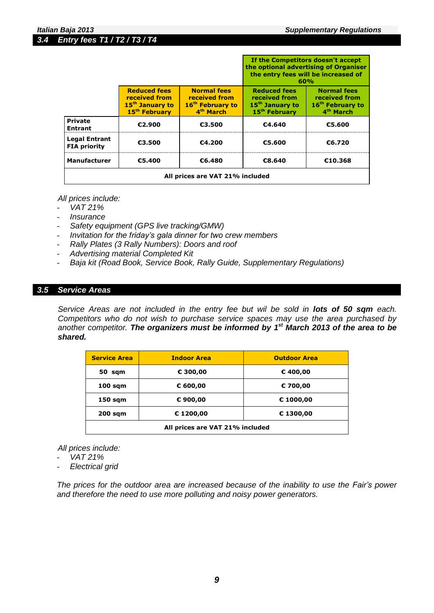*3.4 Entry fees T1 / T2 / T3 / T4*

|                                             |                                                                                                  |                                                                                              | If the Competitors doesn't accept<br>the optional advertising of Organiser<br>the entry fees will be increased of<br>60%<br><b>Reduced fees</b><br><b>Normal fees</b><br>received from<br>received from<br>15 <sup>th</sup> January to<br>16 <sup>th</sup> February to<br>4 <sup>th</sup> March<br>15 <sup>th</sup> February |        |  |
|---------------------------------------------|--------------------------------------------------------------------------------------------------|----------------------------------------------------------------------------------------------|------------------------------------------------------------------------------------------------------------------------------------------------------------------------------------------------------------------------------------------------------------------------------------------------------------------------------|--------|--|
|                                             | <b>Reduced fees</b><br>received from<br>15 <sup>th</sup> January to<br>15 <sup>th</sup> February | <b>Normal fees</b><br>received from<br>16 <sup>th</sup> February to<br>4 <sup>th</sup> March |                                                                                                                                                                                                                                                                                                                              |        |  |
| <b>Private</b><br><b>Entrant</b>            | €2.900                                                                                           | €3.500                                                                                       | €4.640                                                                                                                                                                                                                                                                                                                       | €5.600 |  |
| <b>Legal Entrant</b><br><b>FIA priority</b> | €3.500                                                                                           | €4.200                                                                                       | €5.600                                                                                                                                                                                                                                                                                                                       | €6.720 |  |
| <b>Manufacturer</b><br>€5.400<br>€6.480     |                                                                                                  | €8.640                                                                                       | €10.368                                                                                                                                                                                                                                                                                                                      |        |  |
|                                             | All prices are VAT 21% included                                                                  |                                                                                              |                                                                                                                                                                                                                                                                                                                              |        |  |

*All prices include:*

- *VAT 21%*
- *Insurance*
- *Safety equipment (GPS live tracking/GMW)*
- *Invitation for the friday's gala dinner for two crew members*
- *Rally Plates (3 Rally Numbers): Doors and roof*
- *Advertising material Completed Kit*
- *Baja kit (Road Book, Service Book, Rally Guide, Supplementary Regulations)*

#### *3.5 Service Areas*

*Service Areas are not included in the entry fee but wil be sold in lots of 50 sqm each. Competitors who do not wish to purchase service spaces may use the area purchased by another competitor. The organizers must be informed by 1 st March 2013 of the area to be shared.*

| <b>Service Area</b>             | <b>Indoor Area</b> | <b>Outdoor Area</b> |  |  |
|---------------------------------|--------------------|---------------------|--|--|
| 50 sqm                          | € 300,00           | € 400,00            |  |  |
| $100$ sqm                       | € 600,00           | € 700,00            |  |  |
| $150$ sqm                       | € 900,00           | € 1000,00           |  |  |
| $200$ sqm                       | € 1200,00          | € 1300,00           |  |  |
| All prices are VAT 21% included |                    |                     |  |  |

- *All prices include:*
- *VAT 21%*
- *Electrical grid*

*The prices for the outdoor area are increased because of the inability to use the Fair's power and therefore the need to use more polluting and noisy power generators.*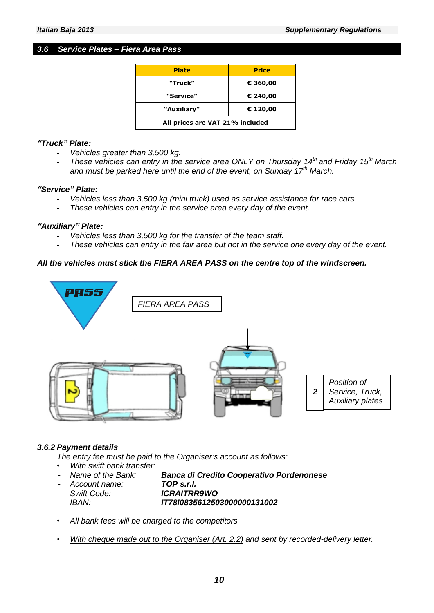# *3.6 Service Plates – Fiera Area Pass*

| <b>Plate</b>                    | <b>Price</b> |  |  |
|---------------------------------|--------------|--|--|
| "Truck"                         | € 360,00     |  |  |
| "Service"                       | € 240,00     |  |  |
| "Auxiliary"                     | € 120,00     |  |  |
| All prices are VAT 21% included |              |  |  |

#### *"Truck" Plate:*

- *Vehicles greater than 3,500 kg.*
- *These vehicles can entry in the service area ONLY on Thursday 14th and Friday 15th March and must be parked here until the end of the event, on Sunday 17th March.*

#### *"Service" Plate:*

- *Vehicles less than 3,500 kg (mini truck) used as service assistance for race cars.*
- *These vehicles can entry in the service area every day of the event.*

#### *"Auxiliary" Plate:*

- *Vehicles less than 3,500 kg for the transfer of the team staff.*
- *These vehicles can entry in the fair area but not in the service one every day of the event.*

# *All the vehicles must stick the FIERA AREA PASS on the centre top of the windscreen.*



# *3.6.2 Payment details*

*The entry fee must be paid to the Organiser's account as follows:*

- *• With swift bank transfer:*
	- *- Name of the Bank: Banca di Credito Cooperativo Pordenonese*
- *- Account name: TOP s.r.l.*
- 
- *- Swift Code: ICRAITRR9WO*
- *- IBAN: IT78I0835612503000000131002*
- *• All bank fees will be charged to the competitors*
- *• With cheque made out to the Organiser (Art. 2.2) and sent by recorded-delivery letter.*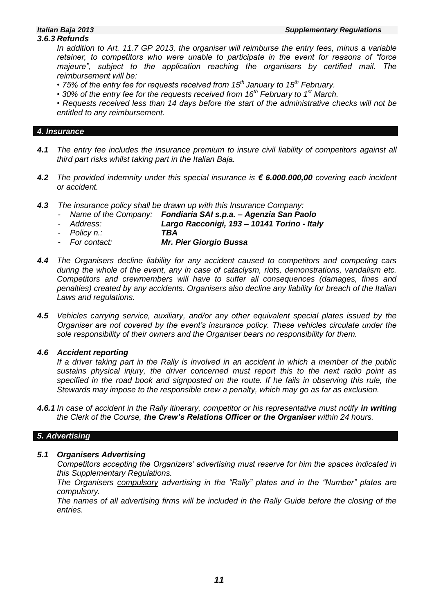# *3.6.3 Refunds*

*In addition to Art. 11.7 GP 2013, the organiser will reimburse the entry fees, minus a variable retainer, to competitors who were unable to participate in the event for reasons of "force majeure", subject to the application reaching the organisers by certified mail. The reimbursement will be:* 

- *75% of the entry fee for requests received from 15th January to 15th February.*
- 30% of the entry fee for the requests received from 16<sup>th</sup> February to 1<sup>st</sup> March.

*• Requests received less than 14 days before the start of the administrative checks will not be entitled to any reimbursement.*

# *4. Insurance*

- *4.1 The entry fee includes the insurance premium to insure civil liability of competitors against all third part risks whilst taking part in the Italian Baja.*
- *4.2 The provided indemnity under this special insurance is € 6.000.000,00 covering each incident or accident.*
- *4.3 The insurance policy shall be drawn up with this Insurance Company:*

|  | Name of the Company: Fondiaria SAI s.p.a. - Agenzia San Paolo |
|--|---------------------------------------------------------------|
|  |                                                               |

- *- Address: Largo Racconigi, 193 – 10141 Torino - Italy*
- *- Policy n.: TBA*
- *- For contact: Mr. Pier Giorgio Bussa*
- *4.4 The Organisers decline liability for any accident caused to competitors and competing cars during the whole of the event, any in case of cataclysm, riots, demonstrations, vandalism etc. Competitors and crewmembers will have to suffer all consequences (damages, fines and penalties) created by any accidents. Organisers also decline any liability for breach of the Italian Laws and regulations.*
- *4.5 Vehicles carrying service, auxiliary, and/or any other equivalent special plates issued by the Organiser are not covered by the event's insurance policy. These vehicles circulate under the sole responsibility of their owners and the Organiser bears no responsibility for them.*

# *4.6 Accident reporting*

*If a driver taking part in the Rally is involved in an accident in which a member of the public sustains physical injury, the driver concerned must report this to the next radio point as specified in the road book and signposted on the route. If he fails in observing this rule, the Stewards may impose to the responsible crew a penalty, which may go as far as exclusion.*

**4.6.1** In case of accident in the Rally itinerary, competitor or his representative must notify **in writing** *the Clerk of the Course, the Crew's Relations Officer or the Organiser within 24 hours.*

# *5. Advertising*

# *5.1 Organisers Advertising*

*Competitors accepting the Organizers' advertising must reserve for him the spaces indicated in this Supplementary Regulations.*

*The Organisers compulsory advertising in the "Rally" plates and in the "Number" plates are compulsory.*

*The names of all advertising firms will be included in the Rally Guide before the closing of the entries.*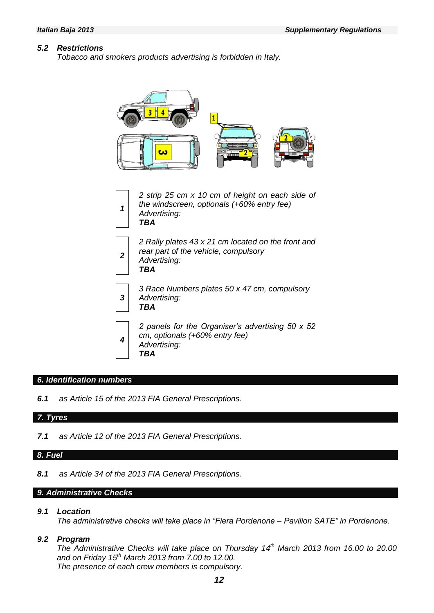#### *5.2 Restrictions*

*Tobacco and smokers products advertising is forbidden in Italy.*



#### *6. Identification numbers*

*6.1 as Article 15 of the 2013 FIA General Prescriptions.*

# *7. Tyres*

*7.1 as Article 12 of the 2013 FIA General Prescriptions.*

# *8. Fuel*

*8.1 as Article 34 of the 2013 FIA General Prescriptions.*

# *9. Administrative Checks*

#### *9.1 Location*

*The administrative checks will take place in "Fiera Pordenone – Pavilion SATE" in Pordenone.*

# *9.2 Program*

*The Administrative Checks will take place on Thursday 14 th March 2013 from 16.00 to 20.00 and on Friday 15th March 2013 from 7.00 to 12.00. The presence of each crew members is compulsory.*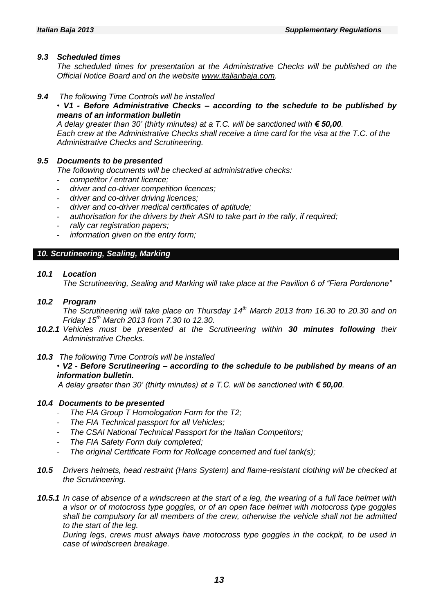#### *9.3 Scheduled times*

*The scheduled times for presentation at the Administrative Checks will be published on the Official Notice Board and on the website [www.italianbaja.com.](http://www.italianbaja.com/)*

- *9.4 The following Time Controls will be installed* 
	- *V1 - Before Administrative Checks – according to the schedule to be published by means of an information bulletin*

*A delay greater than 30' (thirty minutes) at a T.C. will be sanctioned with € 50,00. Each crew at the Administrative Checks shall receive a time card for the visa at the T.C. of the Administrative Checks and Scrutineering.*

#### *9.5 Documents to be presented*

*The following documents will be checked at administrative checks:*

- *competitor / entrant licence;*
- *driver and co-driver competition licences;*
- *driver and co-driver driving licences;*
- *driver and co-driver medical certificates of aptitude;*
- authorisation for the drivers by their ASN to take part in the rally, if required;
- *rally car registration papers;*
- *information given on the entry form;*

#### *10. Scrutineering, Sealing, Marking*

#### *10.1 Location*

*The Scrutineering, Sealing and Marking will take place at the Pavilion 6 of "Fiera Pordenone"*

#### *10.2 Program*

*The Scrutineering will take place on Thursday 14 th March 2013 from 16.30 to 20.30 and on Friday 15th March 2013 from 7.30 to 12.30.*

- *10.2.1 Vehicles must be presented at the Scrutineering within 30 minutes following their Administrative Checks.*
- *10.3 The following Time Controls will be installed*

# *• V2 - Before Scrutineering – according to the schedule to be published by means of an information bulletin.*

*A delay greater than 30' (thirty minutes) at a T.C. will be sanctioned with € 50,00.* 

#### *10.4 Documents to be presented*

- *The FIA Group T Homologation Form for the T2;*
- *The FIA Technical passport for all Vehicles;*
- *The CSAI National Technical Passport for the Italian Competitors;*
- *The FIA Safety Form duly completed;*
- *The original Certificate Form for Rollcage concerned and fuel tank(s);*
- *10.5 Drivers helmets, head restraint (Hans System) and flame-resistant clothing will be checked at the Scrutineering.*
- *10.5.1 In case of absence of a windscreen at the start of a leg, the wearing of a full face helmet with a visor or of motocross type goggles, or of an open face helmet with motocross type goggles shall be compulsory for all members of the crew, otherwise the vehicle shall not be admitted to the start of the leg.*

*During legs, crews must always have motocross type goggles in the cockpit, to be used in case of windscreen breakage.*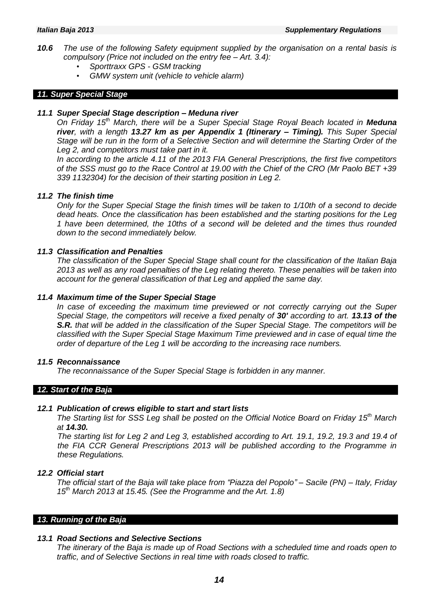- *10.6 The use of the following Safety equipment supplied by the organisation on a rental basis is compulsory (Price not included on the entry fee – Art. 3.4):* 
	- *Sporttraxx GPS - GSM tracking*
	- *GMW system unit (vehicle to vehicle alarm)*

### *11. Super Special Stage*

#### *11.1 Super Special Stage description – Meduna river*

*On Friday 15 th March, there will be a Super Special Stage Royal Beach located in Meduna river, with a length 13.27 km as per Appendix 1 (Itinerary – Timing). This Super Special Stage will be run in the form of a Selective Section and will determine the Starting Order of the Leg 2, and competitors must take part in it.* 

*In according to the article 4.11 of the 2013 FIA General Prescriptions, the first five competitors of the SSS must go to the Race Control at 19.00 with the Chief of the CRO (Mr Paolo BET +39 339 1132304) for the decision of their starting position in Leg 2.* 

#### *11.2 The finish time*

*Only for the Super Special Stage the finish times will be taken to 1/10th of a second to decide dead heats. Once the classification has been established and the starting positions for the Leg 1 have been determined, the 10ths of a second will be deleted and the times thus rounded down to the second immediately below.*

### *11.3 Classification and Penalties*

*The classification of the Super Special Stage shall count for the classification of the Italian Baja 2013 as well as any road penalties of the Leg relating thereto. These penalties will be taken into account for the general classification of that Leg and applied the same day.*

#### *11.4 Maximum time of the Super Special Stage*

*In case of exceeding the maximum time previewed or not correctly carrying out the Super Special Stage, the competitors will receive a fixed penalty of 30' according to art. 13.13 of the S.R. that will be added in the classification of the Super Special Stage. The competitors will be classified with the Super Special Stage Maximum Time previewed and in case of equal time the order of departure of the Leg 1 will be according to the increasing race numbers.*

#### *11.5 Reconnaissance*

*The reconnaissance of the Super Special Stage is forbidden in any manner.*

#### *12. Start of the Baja*

#### *12.1 Publication of crews eligible to start and start lists*

*The Starting list for SSS Leg shall be posted on the Official Notice Board on Friday 15 th March at 14.30.*

*The starting list for Leg 2 and Leg 3, established according to Art. 19.1, 19.2, 19.3 and 19.4 of the FIA CCR General Prescriptions 2013 will be published according to the Programme in these Regulations.*

#### *12.2 Official start*

*The official start of the Baja will take place from "Piazza del Popolo" – Sacile (PN) – Italy, Friday 15 th March 2013 at 15.45. (See the Programme and the Art. 1.8)*

#### *13. Running of the Baja*

# *13.1 Road Sections and Selective Sections*

*The itinerary of the Baja is made up of Road Sections with a scheduled time and roads open to traffic, and of Selective Sections in real time with roads closed to traffic.*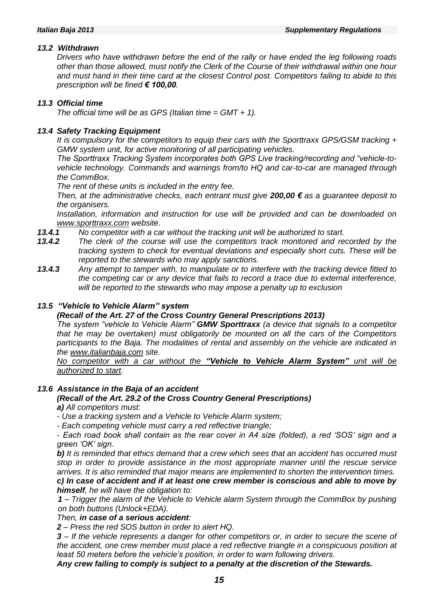# *13.2 Withdrawn*

*Drivers who have withdrawn before the end of the rally or have ended the leg following roads other than those allowed, must notify the Clerk of the Course of their withdrawal within one hour and must hand in their time card at the closest Control post. Competitors failing to abide to this prescription will be fined € 100,00.*

# *13.3 Official time*

*The official time will be as GPS (Italian time = GMT + 1).*

# *13.4 Safety Tracking Equipment*

*It is compulsory for the competitors to equip their cars with the Sporttraxx GPS/GSM tracking + GMW system unit, for active monitoring of all participating vehicles.*

*The Sporttraxx Tracking System incorporates both GPS Live tracking/recording and "vehicle-tovehicle technology. Commands and warnings from/to HQ and car-to-car are managed through the CommBox.* 

*The rent of these units is included in the entry fee.*

*Then, at the administrative checks, each entrant must give 200,00 € as a guarantee deposit to the organisers.* 

*Installation, information and instruction for use will be provided and can be downloaded on [www.sporttraxx.com](http://www.sporttraxx.com/) website.*

- *13.4.1 No competitor with a car without the tracking unit will be authorized to start.*
- *13.4.2 The clerk of the course will use the competitors track monitored and recorded by the tracking system to check for eventual deviations and especially short cuts. These will be reported to the stewards who may apply sanctions.*
- *13.4.3 Any attempt to tamper with, to manipulate or to interfere with the tracking device fitted to the competing car or any device that fails to record a trace due to external interference, will be reported to the stewards who may impose a penalty up to exclusion*

### *13.5 "Vehicle to Vehicle Alarm" system*

*(Recall of the Art. 27 of the Cross Country General Prescriptions 2013)*

*The system "vehicle to Vehicle Alarm" GMW Sporttraxx (a device that signals to a competitor that he may be overtaken) must obligatorily be mounted on all the cars of the Competitors participants to the Baja. The modalities of rental and assembly on the vehicle are indicated in the [www.italianbaja.com](http://www.italianbaja.com/) site.*

*No competitor with a car without the "Vehicle to Vehicle Alarm System" unit will be authorized to start.*

#### *13.6 Assistance in the Baja of an accident*

#### *(Recall of the Art. 29.2 of the Cross Country General Prescriptions) a) All competitors must:*

*- Use a tracking system and a Vehicle to Vehicle Alarm system;*

*- Each competing vehicle must carry a red reflective triangle;*

*- Each road book shall contain as the rear cover in A4 size (folded), a red 'SOS' sign and a green 'OK' sign.*

*b) It is reminded that ethics demand that a crew which sees that an accident has occurred must stop in order to provide assistance in the most appropriate manner until the rescue service arrives. It is also reminded that major means are implemented to shorten the intervention times. c) In case of accident and if at least one crew member is conscious and able to move by* 

*himself, he will have the obligation to: 1 – Trigger the alarm of the Vehicle to Vehicle alarm System through the CommBox by pushing* 

*on both buttons (Unlock+EDA).*

*Then, in case of a serious accident:*

*2 – Press the red SOS button in order to alert HQ.*

*3 – If the vehicle represents a danger for other competitors or, in order to secure the scene of the accident, one crew member must place a red reflective triangle in a conspicuous position at least 50 meters before the vehicle's position, in order to warn following drivers.*

*Any crew failing to comply is subject to a penalty at the discretion of the Stewards.*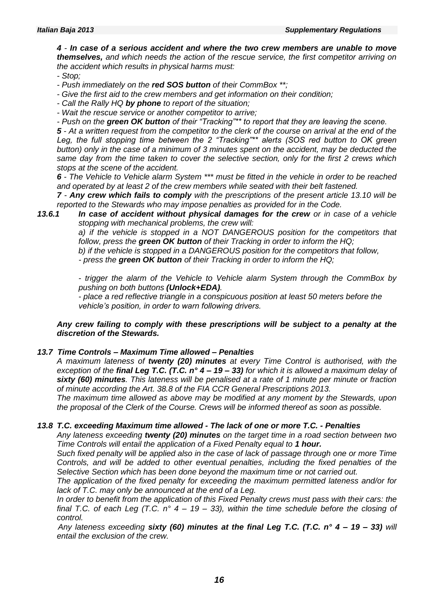*4 - In case of a serious accident and where the two crew members are unable to move themselves, and which needs the action of the rescue service, the first competitor arriving on the accident which results in physical harms must:*

*- Stop;*

*- Push immediately on the red SOS button of their CommBox \*\*;*

*- Give the first aid to the crew members and get information on their condition;*

*- Call the Rally HQ by phone to report of the situation;*

*- Wait the rescue service or another competitor to arrive;*

*- Push on the green OK button of their "Tracking"\*\* to report that they are leaving the scene.*

*5 - At a written request from the competitor to the clerk of the course on arrival at the end of the Leg, the full stopping time between the 2 "Tracking"\*\* alerts (SOS red button to OK green button) only in the case of a minimum of 3 minutes spent on the accident, may be deducted the same day from the time taken to cover the selective section, only for the first 2 crews which stops at the scene of the accident.*

*6 - The Vehicle to Vehicle alarm System \*\*\* must be fitted in the vehicle in order to be reached and operated by at least 2 of the crew members while seated with their belt fastened.*

*7 - Any crew which fails to comply with the prescriptions of the present article 13.10 will be reported to the Stewards who may impose penalties as provided for in the Code.*

*13.6.1 In case of accident without physical damages for the crew or in case of a vehicle stopping with mechanical problems, the crew will:*

> *a) if the vehicle is stopped in a NOT DANGEROUS position for the competitors that follow, press the green OK button of their Tracking in order to inform the HQ;*

*b) if the vehicle is stopped in a DANGEROUS position for the competitors that follow,*

*- press the green OK button of their Tracking in order to inform the HQ;*

*- trigger the alarm of the Vehicle to Vehicle alarm System through the CommBox by pushing on both buttons (Unlock+EDA).*

*- place a red reflective triangle in a conspicuous position at least 50 meters before the vehicle's position, in order to warn following drivers.*

#### *Any crew failing to comply with these prescriptions will be subject to a penalty at the discretion of the Stewards.*

# *13.7 Time Controls – Maximum Time allowed – Penalties*

*A maximum lateness of twenty (20) minutes at every Time Control is authorised, with the exception of the final Leg T.C. (T.C. n° 4 – 19 – 33) for which it is allowed a maximum delay of sixty (60) minutes. This lateness will be penalised at a rate of 1 minute per minute or fraction of minute according the Art. 38.8 of the FIA CCR General Prescriptions 2013.*

*The maximum time allowed as above may be modified at any moment by the Stewards, upon the proposal of the Clerk of the Course. Crews will be informed thereof as soon as possible.*

# *13.8 T.C. exceeding Maximum time allowed - The lack of one or more T.C. - Penalties*

*Any lateness exceeding twenty (20) minutes on the target time in a road section between two Time Controls will entail the application of a Fixed Penalty equal to 1 hour.*

*Such fixed penalty will be applied also in the case of lack of passage through one or more Time Controls, and will be added to other eventual penalties, including the fixed penalties of the Selective Section which has been done beyond the maximum time or not carried out.*

*The application of the fixed penalty for exceeding the maximum permitted lateness and/or for lack of T.C. may only be announced at the end of a Leg.*

*In order to benefit from the application of this Fixed Penalty crews must pass with their cars: the final T.C. of each Leg (T.C. n° 4 – 19 – 33), within the time schedule before the closing of control.*

*Any lateness exceeding sixty (60) minutes at the final Leg T.C. (T.C. n° 4 – 19 – 33) will entail the exclusion of the crew.*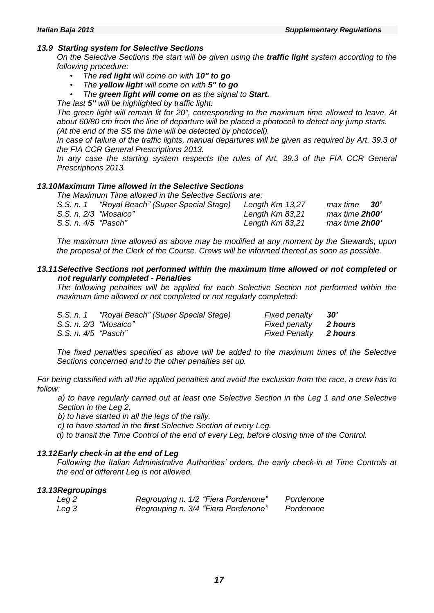#### *13.9 Starting system for Selective Sections*

*On the Selective Sections the start will be given using the traffic light system according to the following procedure:*

- *The red light will come on with 10'' to go*
- *The yellow light will come on with 5'' to go*
- *The green light will come on as the signal to Start.*

*The last 5'' will be highlighted by traffic light.*

*The green light will remain lit for 20'', corresponding to the maximum time allowed to leave. At about 60/80 cm from the line of departure will be placed a photocell to detect any jump starts. (At the end of the SS the time will be detected by photocell).*

*In case of failure of the traffic lights, manual departures will be given as required by Art. 39.3 of the FIA CCR General Prescriptions 2013.*

*In any case the starting system respects the rules of Art. 39.3 of the FIA CCR General Prescriptions 2013.*

#### *13.10Maximum Time allowed in the Selective Sections*

*The Maximum Time allowed in the Selective Sections are:*

| S.S. n. 1             | "Royal Beach" (Super Special Stage) | Length $Km$ 13,27 | - 30'<br>max time |
|-----------------------|-------------------------------------|-------------------|-------------------|
| S.S. n. 2/3 "Mosaico" |                                     | Length $Km$ 83,21 | max time 2h00'    |
| S.S. n. 4/5 "Pasch"   |                                     | Length $Km$ 83,21 | max time 2h00'    |

*The maximum time allowed as above may be modified at any moment by the Stewards, upon the proposal of the Clerk of the Course. Crews will be informed thereof as soon as possible.*

#### *13.11Selective Sections not performed within the maximum time allowed or not completed or not regularly completed - Penalties*

*The following penalties will be applied for each Selective Section not performed within the maximum time allowed or not completed or not regularly completed:*

|                         | S.S. n. 1 "Royal Beach" (Super Special Stage) | Fixed penalty                | 30' |
|-------------------------|-----------------------------------------------|------------------------------|-----|
| $S.S. n. 2/3$ "Mosaico" |                                               | Fixed penalty 2 hours        |     |
| S.S. n. 4/5 "Pasch"     |                                               | <b>Fixed Penalty</b> 2 hours |     |

*The fixed penalties specified as above will be added to the maximum times of the Selective Sections concerned and to the other penalties set up.*

*For being classified with all the applied penalties and avoid the exclusion from the race, a crew has to follow:*

*a) to have regularly carried out at least one Selective Section in the Leg 1 and one Selective Section in the Leg 2.*

*b) to have started in all the legs of the rally.*

*c) to have started in the first Selective Section of every Leg.*

*d) to transit the Time Control of the end of every Leg, before closing time of the Control.*

#### *13.12Early check-in at the end of Leg*

*Following the Italian Administrative Authorities' orders, the early check-in at Time Controls at the end of different Leg is not allowed.*

#### *13.13Regroupings*

| Leg 2 | Regrouping n. 1/2 "Fiera Pordenone" | Pordenone |
|-------|-------------------------------------|-----------|
| Leg 3 | Regrouping n. 3/4 "Fiera Pordenone" | Pordenone |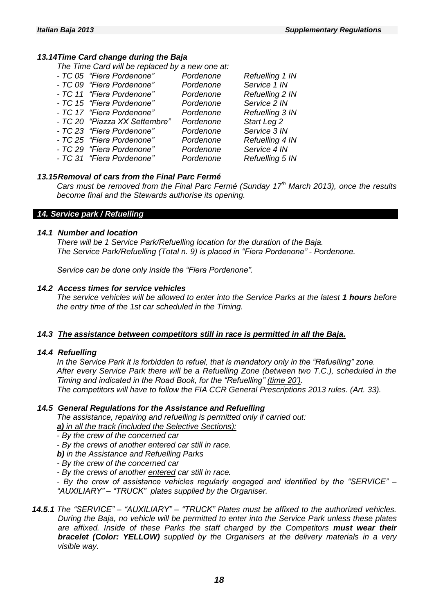### *13.14Time Card change during the Baja*

*The Time Card will be replaced by a new one at:*

| - TC 05 "Fiera Pordenone"     | Pordenone | Refuelling 1 IN |
|-------------------------------|-----------|-----------------|
| - TC 09 "Fiera Pordenone"     | Pordenone | Service 1 IN    |
| - TC 11 "Fiera Pordenone"     | Pordenone | Refuelling 2 IN |
| - TC 15 "Fiera Pordenone"     | Pordenone | Service 2 IN    |
| - TC 17 "Fiera Pordenone"     | Pordenone | Refuelling 3 IN |
| - TC 20 "Piazza XX Settembre" | Pordenone | Start Leg 2     |
| - TC 23 "Fiera Pordenone"     | Pordenone | Service 3 IN    |
| - TC 25 "Fiera Pordenone"     | Pordenone | Refuelling 4 IN |
| - TC 29 "Fiera Pordenone"     | Pordenone | Service 4 IN    |
| - TC 31 "Fiera Pordenone"     | Pordenone | Refuelling 5 IN |

### *13.15Removal of cars from the Final Parc Fermé*

*Cars must be removed from the Final Parc Fermé (Sunday 17 th March 2013), once the results become final and the Stewards authorise its opening.*

#### *14. Service park / Refuelling*

#### *14.1 Number and location*

*There will be 1 Service Park/Refuelling location for the duration of the Baja. The Service Park/Refuelling (Total n. 9) is placed in "Fiera Pordenone" - Pordenone.*

*Service can be done only inside the "Fiera Pordenone".*

#### *14.2 Access times for service vehicles*

*The service vehicles will be allowed to enter into the Service Parks at the latest 1 hours before the entry time of the 1st car scheduled in the Timing.*

#### *14.3 The assistance between competitors still in race is permitted in all the Baja.*

#### *14.4 Refuelling*

*In the Service Park it is forbidden to refuel, that is mandatory only in the "Refuelling" zone. After every Service Park there will be a Refuelling Zone (between two T.C.), scheduled in the Timing and indicated in the Road Book, for the "Refuelling" (time 20'). The competitors will have to follow the FIA CCR General Prescriptions 2013 rules. (Art. 33).*

#### *14.5 General Regulations for the Assistance and Refuelling*

*The assistance, repairing and refuelling is permitted only if carried out: a) in all the track (included the Selective Sections):*

*- By the crew of the concerned car*

*- By the crews of another entered car still in race.*

*b) in the Assistance and Refuelling Parks*

*- By the crew of the concerned car*

*- By the crews of another entered car still in race.*

*- By the crew of assistance vehicles regularly engaged and identified by the "SERVICE" – "AUXILIARY" – "TRUCK" plates supplied by the Organiser.*

#### *14.5.1 The "SERVICE" – "AUXILIARY" – "TRUCK" Plates must be affixed to the authorized vehicles. During the Baja, no vehicle will be permitted to enter into the Service Park unless these plates are affixed. Inside of these Parks the staff charged by the Competitors must wear their bracelet (Color: YELLOW) supplied by the Organisers at the delivery materials in a very visible way.*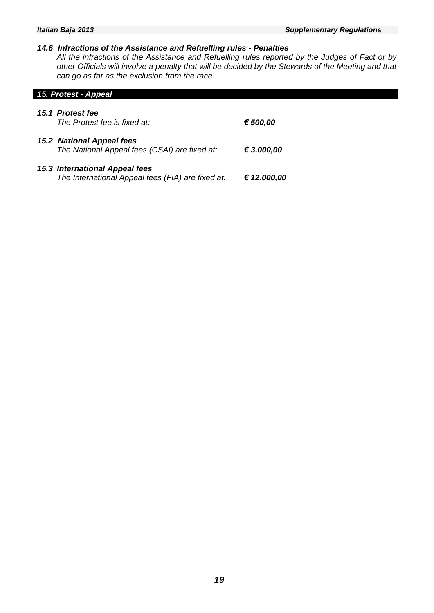#### *14.6 Infractions of the Assistance and Refuelling rules - Penalties*

*All the infractions of the Assistance and Refuelling rules reported by the Judges of Fact or by other Officials will involve a penalty that will be decided by the Stewards of the Meeting and that can go as far as the exclusion from the race.*

#### *15. Protest - Appeal*

| 15.1 Protest fee<br>The Protest fee is fixed at:                                    | € 500,00    |
|-------------------------------------------------------------------------------------|-------------|
| <b>15.2 National Appeal fees</b><br>The National Appeal fees (CSAI) are fixed at:   | € 3.000,00  |
| 15.3 International Appeal fees<br>The International Appeal fees (FIA) are fixed at: | € 12.000,00 |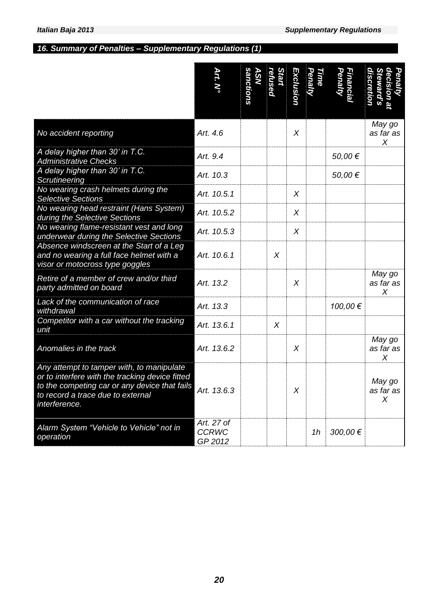# *16. Summary of Penalties – Supplementary Regulations (1)*

|                                                                                                                                                                                                     | Art. N°                               | <i>anctions</i><br><b>SN</b> | Start<br>refused | Exclusion | Time<br><b>Penalty</b> | Penal<br>Financi |                          |
|-----------------------------------------------------------------------------------------------------------------------------------------------------------------------------------------------------|---------------------------------------|------------------------------|------------------|-----------|------------------------|------------------|--------------------------|
| No accident reporting                                                                                                                                                                               | Art. 4.6                              |                              |                  | X         |                        |                  | May go<br>as far as<br>X |
| A delay higher than 30' in T.C.<br><b>Administrative Checks</b>                                                                                                                                     | Art. 9.4                              |                              |                  |           |                        | 50,00€           |                          |
| A delay higher than 30' in T.C.<br>Scrutineering                                                                                                                                                    | Art. 10.3                             |                              |                  |           |                        | 50,00€           |                          |
| No wearing crash helmets during the<br><b>Selective Sections</b>                                                                                                                                    | Art. 10.5.1                           |                              |                  | X         |                        |                  |                          |
| No wearing head restraint (Hans System)<br>during the Selective Sections                                                                                                                            | Art. 10.5.2                           |                              |                  | X         |                        |                  |                          |
| No wearing flame-resistant vest and long<br>underwear during the Selective Sections                                                                                                                 | Art. 10.5.3                           |                              |                  | $\chi$    |                        |                  |                          |
| Absence windscreen at the Start of a Leg<br>and no wearing a full face helmet with a<br>visor or motocross type goggles                                                                             | Art. 10.6.1                           |                              | X                |           |                        |                  |                          |
| Retire of a member of crew and/or third<br>party admitted on board                                                                                                                                  | Art. 13.2                             |                              |                  | X         |                        |                  | May go<br>as far as<br>X |
| Lack of the communication of race<br>withdrawal                                                                                                                                                     | Art. 13.3                             |                              |                  |           |                        | 100,00 €         |                          |
| Competitor with a car without the tracking<br>unit                                                                                                                                                  | Art. 13.6.1                           |                              | X                |           |                        |                  |                          |
| Anomalies in the track                                                                                                                                                                              | Art. 13.6.2                           |                              |                  | X         |                        |                  | May go<br>as far as<br>X |
| Any attempt to tamper with, to manipulate<br>or to interfere with the tracking device fitted<br>to the competing car or any device that fails<br>to record a trace due to external<br>interference. | Art. 13.6.3                           |                              |                  | Χ         |                        |                  | May go<br>as far as<br>X |
| Alarm System "Vehicle to Vehicle" not in<br>operation                                                                                                                                               | Art. 27 of<br><b>CCRWC</b><br>GP 2012 |                              |                  |           | 1h                     | 300,00€          |                          |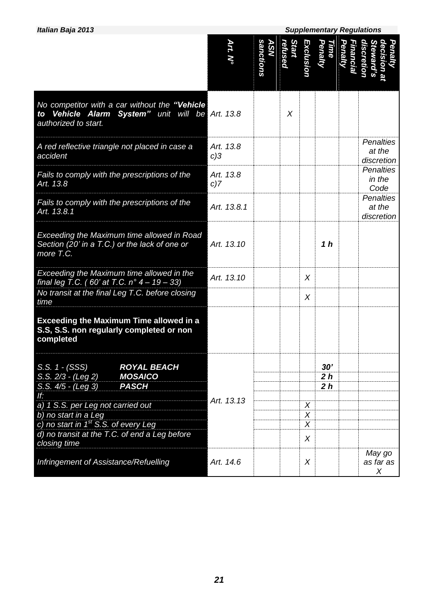*Italian Baja 2013 Supplementary Regulations*

|                                                                                                                           | Art. N°             | sanctions<br><b>ASN</b> | Start<br>refused | <b>Exclusion</b> | <b>Time<br/>Penalty</b>                 | Penalty<br>Financial | discretion<br>decision al<br>Penalty<br>teward's |
|---------------------------------------------------------------------------------------------------------------------------|---------------------|-------------------------|------------------|------------------|-----------------------------------------|----------------------|--------------------------------------------------|
| No competitor with a car without the "Vehicle<br>to Vehicle Alarm System" unit will be Art. 13.8<br>authorized to start.  |                     |                         | X                |                  |                                         |                      |                                                  |
| A red reflective triangle not placed in case a<br>accident                                                                | Art. 13.8<br>$c$ )3 |                         |                  |                  |                                         |                      | <b>Penalties</b><br>at the<br>discretion         |
| Fails to comply with the prescriptions of the<br>Art. 13.8                                                                | Art. 13.8<br>$c$ )7 |                         |                  |                  |                                         |                      | <b>Penalties</b><br>in the<br>Code               |
| Fails to comply with the prescriptions of the<br>Art. 13.8.1                                                              | Art. 13.8.1         |                         |                  |                  |                                         |                      | <b>Penalties</b><br>at the<br>discretion         |
| <b>Exceeding the Maximum time allowed in Road</b><br>Section (20' in a T.C.) or the lack of one or<br>more T.C.           | Art. 13.10          |                         |                  |                  | 1 <sub>h</sub>                          |                      |                                                  |
| Exceeding the Maximum time allowed in the<br>final leg T.C. (60' at T.C. $n^{\circ}$ 4 - 19 - 33)                         | Art. 13.10          |                         |                  | $\chi$           |                                         |                      |                                                  |
| No transit at the final Leg T.C. before closing<br>time                                                                   |                     |                         |                  | X                |                                         |                      |                                                  |
| <b>Exceeding the Maximum Time allowed in a</b><br>S.S, S.S. non regularly completed or non<br>completed                   |                     |                         |                  |                  |                                         |                      |                                                  |
| S.S. 1 - (SSS)<br><b>ROYAL BEACH</b><br>S.S. 2/3 - (Leg 2)<br><b>MOSAICO</b><br><b>PASCH</b><br>S.S. 4/5 - (Leg 3)<br>If: | Art. 13.13          |                         |                  |                  | 30'<br>2 <sub>h</sub><br>2 <sub>h</sub> |                      |                                                  |
| a) 1 S.S. per Leg not carried out<br>b) no start in a Leg                                                                 |                     |                         |                  | X<br>X           |                                         |                      |                                                  |
| c) no start in 1 <sup>st</sup> S.S. of every Leg<br>d) no transit at the T.C. of end a Leg before<br>closing time         |                     |                         |                  | $\chi$<br>X      |                                         |                      |                                                  |
| Infringement of Assistance/Refuelling                                                                                     | Art. 14.6           |                         |                  | X                |                                         |                      | May go<br>as far as<br>X                         |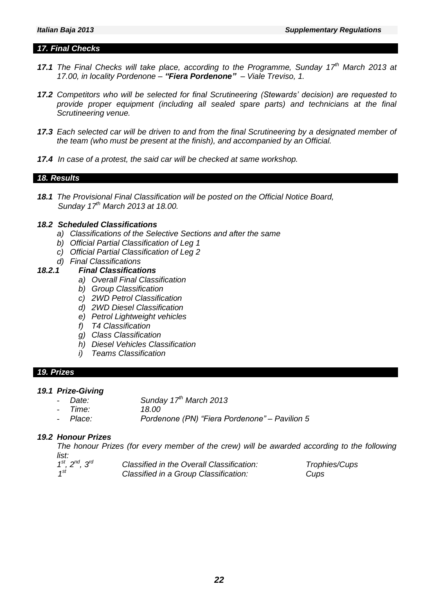#### *17. Final Checks*

- 17.1 The Final Checks will take place, according to the Programme, Sunday 17<sup>th</sup> March 2013 at *17.00, in locality Pordenone – "Fiera Pordenone" – Viale Treviso, 1.*
- *17.2 Competitors who will be selected for final Scrutineering (Stewards' decision) are requested to provide proper equipment (including all sealed spare parts) and technicians at the final Scrutineering venue.*
- *17.3 Each selected car will be driven to and from the final Scrutineering by a designated member of the team (who must be present at the finish), and accompanied by an Official.*
- *17.4 In case of a protest, the said car will be checked at same workshop.*

#### *18. Results*

*18.1 The Provisional Final Classification will be posted on the Official Notice Board, Sunday 17 th March 2013 at 18.00.*

# *18.2 Scheduled Classifications*

- *a) Classifications of the Selective Sections and after the same*
- *b) Official Partial Classification of Leg 1*
- *c) Official Partial Classification of Leg 2*
- *d) Final Classifications*

#### *18.2.1 Final Classifications*

- *a) Overall Final Classification*
- *b) Group Classification*
- *c) 2WD Petrol Classification*
- *d) 2WD Diesel Classification*
- *e) Petrol Lightweight vehicles*
- *f) T4 Classification*
- *g) Class Classification*
- *h) Diesel Vehicles Classification*
- *i) Teams Classification*

#### *19. Prizes*

# *19.1 Prize-Giving*

- *Date: Sunday 17 th March 2013*
- *Time: 18.00*
- *Place: Pordenone (PN) "Fiera Pordenone" – Pavilion 5*

#### *19.2 Honour Prizes*

*The honour Prizes (for every member of the crew) will be awarded according to the following list:*

| $1^{st}$ , $2^{nd}$ , $3^{rd}$ | Classified in the Overall Classification: | Trophies/Cups |
|--------------------------------|-------------------------------------------|---------------|
| $1^{st}$                       | Classified in a Group Classification:     | Cups          |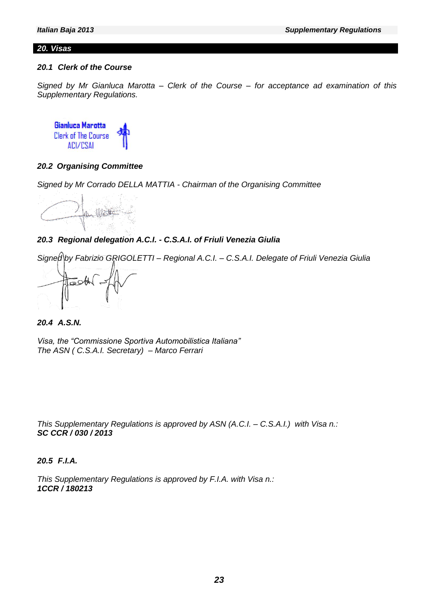#### *20. Visas*

#### *20.1 Clerk of the Course*

*Signed by Mr Gianluca Marotta – Clerk of the Course – for acceptance ad examination of this Supplementary Regulations.*

**Gianluca Marotta Clerk of The Course ACI/CSAL** 

#### *20.2 Organising Committee*

*Signed by Mr Corrado DELLA MATTIA - Chairman of the Organising Committee*

the Watter

# *20.3 Regional delegation A.C.I. - C.S.A.I. of Friuli Venezia Giulia*

*Signed by Fabrizio GRIGOLETTI – Regional A.C.I. – C.S.A.I. Delegate of Friuli Venezia Giulia*



*20.4 A.S.N.*

*Visa, the "Commissione Sportiva Automobilistica Italiana" The ASN ( C.S.A.I. Secretary) – Marco Ferrari*

*This Supplementary Regulations is approved by ASN (A.C.I. – C.S.A.I.) with Visa n.: SC CCR / 030 / 2013*

*20.5 F.I.A.*

*This Supplementary Regulations is approved by F.I.A. with Visa n.: 1CCR / 180213*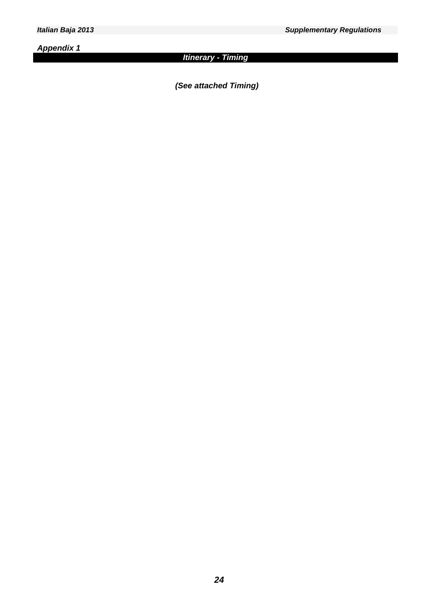*Appendix 1*

# *Italian Baja 2013 Supplementary Regulations*

# *Itinerary - Timing*

*(See attached Timing)*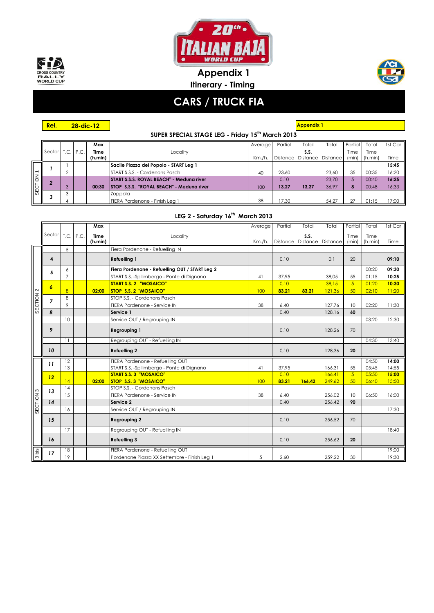



**Itinerary - Timing Appendix 1**



# **CARS / TRUCK FIA**

**SUPER SPECIAL STAGE LEG - Friday 15th March 2013 28-dic-12 Appendix 1**

|           |             |   |      | Max     |                                                 | Average   | Partial | Total | Total                          | Partial | Total   | 1st Car |
|-----------|-------------|---|------|---------|-------------------------------------------------|-----------|---------|-------|--------------------------------|---------|---------|---------|
|           | Sector T.C. |   | P.C. | Time    | Locality                                        |           |         | S.S.  |                                | Time    | Time    |         |
|           |             |   |      | (h.min) |                                                 | $Km./h$ . |         |       | Distance   Distance   Distance | (min)   | (h.min) | Time    |
|           |             |   |      |         | Sacile Piazza del Popolo - START Leg 1          |           |         |       |                                |         |         | 15:45   |
|           |             |   |      |         | START S.S.S. - Cordenons Pasch                  | 40        | 23.60   |       | 23.60                          | 35      | 00:35   | 16:20   |
|           |             |   |      |         | START S.S.S. ROYAL BEACH" - Medung river        |           | 0.10    |       | 23.70                          | 5       | 00:40   | 16:25   |
| SECTION 1 |             | 3 |      | 00:30   | <b>STOP S.S.S. "ROYAL BEACH" - Medung river</b> | 100       | 13,27   | 13.27 | 36,97                          | 8       | 00:48   | 16:33   |
|           |             | 3 |      |         | Zoppola                                         |           |         |       |                                |         |         |         |
|           |             |   |      |         | FIERA Pordenone - Finish Leg 1                  | 38        | 7.30    |       | 54.27                          | 27      | 01:15   | 7:00    |

# **LEG 2 - Saturday 16th March 2013**

|                      |                  |                 | Max         |                                                | Average | Partial | Total                          | Total  | Partial        | Total   | 1st Car |
|----------------------|------------------|-----------------|-------------|------------------------------------------------|---------|---------|--------------------------------|--------|----------------|---------|---------|
|                      | Sector T.C. P.C. |                 | <b>Time</b> | Locality                                       |         |         | S.S.                           |        | Time           | Time    |         |
|                      |                  |                 | (h.min)     |                                                | Km./h.  |         | Distance   Distance   Distance |        | (min)          | (h.min) | Time    |
|                      |                  | 5               |             | Fiera Pordenone - Refuelling IN                |         |         |                                |        |                |         |         |
| SECTION 2            | 4                |                 |             | <b>Refuelling 1</b>                            |         | 0,10    |                                | 0,1    | 20             |         | 09:10   |
|                      | 5                | 6               |             | Fiera Pordenone - Refuelling OUT / START Leg 2 |         |         |                                |        |                | 00:20   | 09:30   |
|                      |                  | $\overline{7}$  |             | START S.S. - Spilimbergo - Ponte di Dignano    | 41      | 37,95   |                                | 38.05  | 55             | 01:15   | 10:25   |
|                      | 6                |                 |             | <b>START S.S. 2 "MOSAICO"</b>                  |         | 0.10    |                                | 38,15  | $\sqrt{5}$     | 01:20   | 10:30   |
|                      |                  | $\overline{8}$  | 02:00       | <b>STOP S.S. 2 "MOSAICO"</b>                   | 100     | 83,21   | 83,21                          | 121,36 | 50             | 02:10   | 11:20   |
|                      | $\overline{7}$   | 8               |             | STOP S.S. - Cordenons Pasch                    |         |         |                                |        |                |         |         |
|                      |                  | 9               |             | FIERA Pordenone - Service IN                   | 38      | 6.40    |                                | 127.76 | 10             | 02:20   | 11:30   |
|                      | 8                |                 |             | Service 1                                      |         | 0,40    |                                | 128,16 | 60             |         |         |
|                      |                  | 10              |             | Service OUT / Regrouping IN                    |         |         |                                |        |                | 03:20   | 12:30   |
|                      | 9                |                 |             | <b>Regrouping 1</b>                            |         | 0,10    |                                | 128,26 | 70             |         |         |
|                      |                  | 11              |             | Regrouping OUT - Refuelling IN                 |         |         |                                |        |                | 04:30   | 13:40   |
|                      | 10               |                 |             | <b>Refuelling 2</b>                            |         | 0,10    |                                | 128,36 | 20             |         |         |
|                      | 11               | 12              |             | FIERA Pordenone - Refuelling OUT               |         |         |                                |        |                | 04:50   | 14:00   |
|                      |                  | 13              |             | START S.S. - Spilimbergo - Ponte di Dignano    | 41      | 37.95   |                                | 166.31 | 55             | 05:45   | 14:55   |
|                      | 12               |                 |             | <b>START S.S. 3 "MOSAICO"</b>                  |         | 0.10    |                                | 166.41 | $\overline{5}$ | 05:50   | 15:00   |
|                      |                  | 14              | 02:00       | STOP S.S. 3 "MOSAICO"                          | 100     | 83,21   | 166,42                         | 249,62 | 50             | 06:40   | 15:50   |
|                      | 13               | 14              |             | STOP S.S. - Cordenons Pasch                    |         |         |                                |        |                |         |         |
|                      |                  | 15              |             | FIERA Pordenone - Service IN                   | 38      | 6,40    |                                | 256,02 | 10             | 06:50   | 16:00   |
|                      | 14               |                 |             | Service 2                                      |         | 0,40    |                                | 256,42 | 90             |         |         |
| SECTION <sub>3</sub> |                  | 16              |             | Service OUT / Regrouping IN                    |         |         |                                |        |                |         | 17:30   |
|                      | 15               |                 |             | <b>Regrouping 2</b>                            |         | 0.10    |                                | 256,52 | 70             |         |         |
|                      |                  | $\overline{17}$ |             | Regrouping OUT - Refuelling IN                 |         |         |                                |        |                |         | 18:40   |
|                      | 16               |                 |             | <b>Refuelling 3</b>                            |         | 0,10    |                                | 256,62 | 20             |         |         |
| 3 bis                | 17               | 18              |             | FIERA Pordenone - Refuelling OUT               |         |         |                                |        |                |         | 19:00   |
|                      |                  | 19              |             | Pordenone Piazza XX Settembre - Finish Leg 1   | 5       | 2,60    |                                | 259,22 | 30             |         | 19:30   |